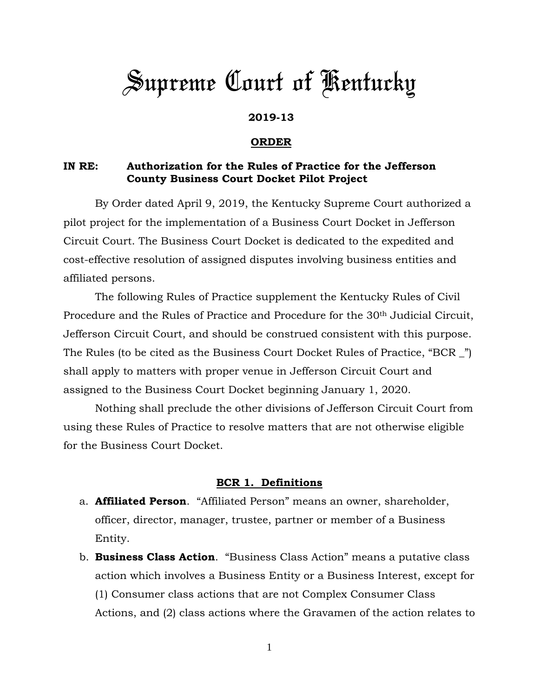# *Supreme Court of Kentucky*

## **2019-13**

#### **ORDER**

## **IN RE: Authorization for the Rules of Practice for the Jefferson County Business Court Docket Pilot Project**

By Order dated April 9, 2019, the Kentucky Supreme Court authorized a pilot project for the implementation of a Business Court Docket in Jefferson Circuit Court. The Business Court Docket is dedicated to the expedited and cost-effective resolution of assigned disputes involving business entities and affiliated persons.

The following Rules of Practice supplement the Kentucky Rules of Civil Procedure and the Rules of Practice and Procedure for the 30th Judicial Circuit, Jefferson Circuit Court, and should be construed consistent with this purpose. The Rules (to be cited as the Business Court Docket Rules of Practice, "BCR \_") shall apply to matters with proper venue in Jefferson Circuit Court and assigned to the Business Court Docket beginning January 1, 2020.

Nothing shall preclude the other divisions of Jefferson Circuit Court from using these Rules of Practice to resolve matters that are not otherwise eligible for the Business Court Docket.

#### **BCR 1. Definitions**

- a. **Affiliated Person**. "Affiliated Person" means an owner, shareholder, officer, director, manager, trustee, partner or member of a Business Entity.
- b. **Business Class Action**. "Business Class Action" means a putative class action which involves a Business Entity or a Business Interest, except for (1) Consumer class actions that are not Complex Consumer Class Actions, and (2) class actions where the Gravamen of the action relates to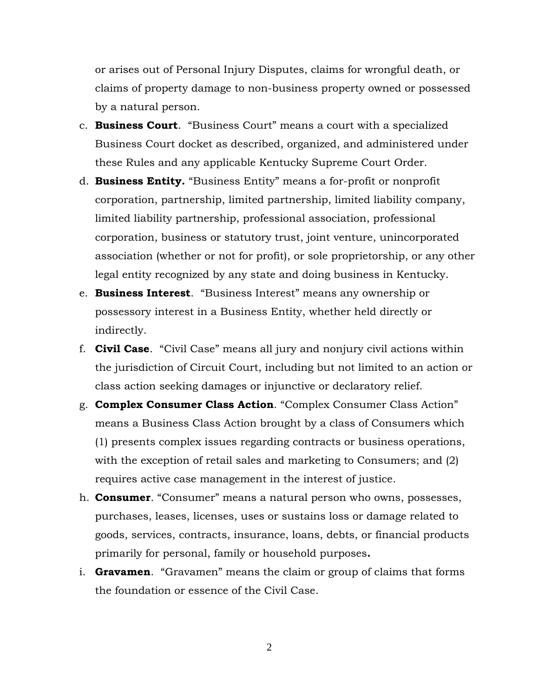or arises out of Personal Injury Disputes, claims for wrongful death, or claims of property damage to non-business property owned or possessed by a natural person.

- c. **Business Court**. "Business Court" means a court with a specialized Business Court docket as described, organized, and administered under these Rules and any applicable Kentucky Supreme Court Order.
- d. **Business Entity.** "Business Entity" means a for-profit or nonprofit corporation, partnership, limited partnership, limited liability company, limited liability partnership, professional association, professional corporation, business or statutory trust, joint venture, unincorporated association (whether or not for profit), or sole proprietorship, or any other legal entity recognized by any state and doing business in Kentucky.
- e. **Business Interest**. "Business Interest" means any ownership or possessory interest in a Business Entity, whether held directly or indirectly.
- f. **Civil Case**. "Civil Case" means all jury and nonjury civil actions within the jurisdiction of Circuit Court, including but not limited to an action or class action seeking damages or injunctive or declaratory relief.
- g. **Complex Consumer Class Action**. "Complex Consumer Class Action" means a Business Class Action brought by a class of Consumers which (1) presents complex issues regarding contracts or business operations, with the exception of retail sales and marketing to Consumers; and (2) requires active case management in the interest of justice.
- h. **Consumer**. "Consumer" means a natural person who owns, possesses, purchases, leases, licenses, uses or sustains loss or damage related to goods, services, contracts, insurance, loans, debts, or financial products primarily for personal, family or household purposes**.**
- i. **Gravamen**. "Gravamen" means the claim or group of claims that forms the foundation or essence of the Civil Case.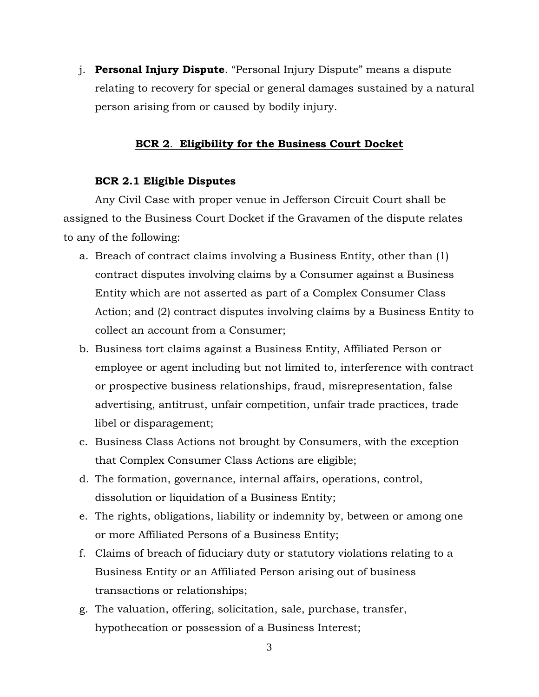j. **Personal Injury Dispute**. "Personal Injury Dispute" means a dispute relating to recovery for special or general damages sustained by a natural person arising from or caused by bodily injury.

#### **BCR 2**. **Eligibility for the Business Court Docket**

#### **BCR 2.1 Eligible Disputes**

Any Civil Case with proper venue in Jefferson Circuit Court shall be assigned to the Business Court Docket if the Gravamen of the dispute relates to any of the following:

- a. Breach of contract claims involving a Business Entity, other than (1) contract disputes involving claims by a Consumer against a Business Entity which are not asserted as part of a Complex Consumer Class Action; and (2) contract disputes involving claims by a Business Entity to collect an account from a Consumer;
- b. Business tort claims against a Business Entity, Affiliated Person or employee or agent including but not limited to, interference with contract or prospective business relationships, fraud, misrepresentation, false advertising, antitrust, unfair competition, unfair trade practices, trade libel or disparagement;
- c. Business Class Actions not brought by Consumers, with the exception that Complex Consumer Class Actions are eligible;
- d. The formation, governance, internal affairs, operations, control, dissolution or liquidation of a Business Entity;
- e. The rights, obligations, liability or indemnity by, between or among one or more Affiliated Persons of a Business Entity;
- f. Claims of breach of fiduciary duty or statutory violations relating to a Business Entity or an Affiliated Person arising out of business transactions or relationships;
- g. The valuation, offering, solicitation, sale, purchase, transfer, hypothecation or possession of a Business Interest;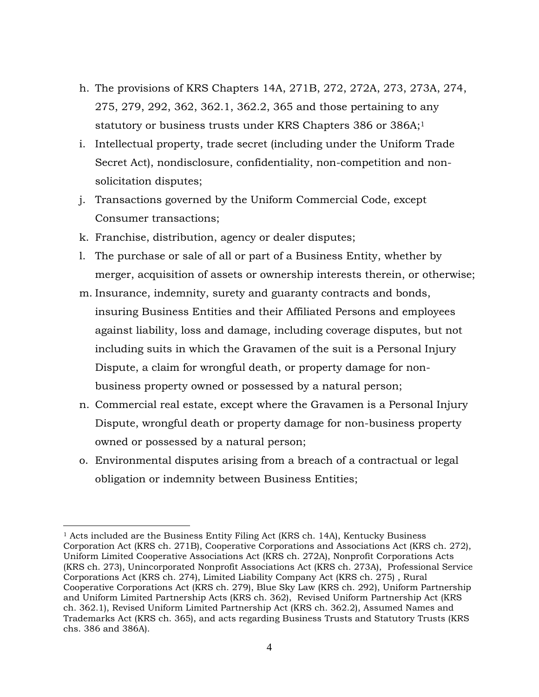- h. The provisions of KRS Chapters 14A, 271B, 272, 272A, 273, 273A, 274, 275, 279, 292, 362, 362.1, 362.2, 365 and those pertaining to any statutory or business trusts under KRS Chapters 386 or 386A;<sup>1</sup>
- i. Intellectual property, trade secret (including under the Uniform Trade Secret Act), nondisclosure, confidentiality, non-competition and nonsolicitation disputes;
- j. Transactions governed by the Uniform Commercial Code, except Consumer transactions;
- k. Franchise, distribution, agency or dealer disputes;

 $\overline{a}$ 

- l. The purchase or sale of all or part of a Business Entity, whether by merger, acquisition of assets or ownership interests therein, or otherwise;
- m. Insurance, indemnity, surety and guaranty contracts and bonds, insuring Business Entities and their Affiliated Persons and employees against liability, loss and damage, including coverage disputes, but not including suits in which the Gravamen of the suit is a Personal Injury Dispute, a claim for wrongful death, or property damage for nonbusiness property owned or possessed by a natural person;
- n. Commercial real estate, except where the Gravamen is a Personal Injury Dispute, wrongful death or property damage for non-business property owned or possessed by a natural person;
- o. Environmental disputes arising from a breach of a contractual or legal obligation or indemnity between Business Entities;

 $<sup>1</sup>$  Acts included are the Business Entity Filing Act (KRS ch. 14A), Kentucky Business</sup> Corporation Act (KRS ch. 271B), Cooperative Corporations and Associations Act (KRS ch. 272), Uniform Limited Cooperative Associations Act (KRS ch. 272A), Nonprofit Corporations Acts (KRS ch. 273), Unincorporated Nonprofit Associations Act (KRS ch. 273A), Professional Service Corporations Act (KRS ch. 274), Limited Liability Company Act (KRS ch. 275) , Rural Cooperative Corporations Act (KRS ch. 279), Blue Sky Law (KRS ch. 292), Uniform Partnership and Uniform Limited Partnership Acts (KRS ch. 362), Revised Uniform Partnership Act (KRS ch. 362.1), Revised Uniform Limited Partnership Act (KRS ch. 362.2), Assumed Names and Trademarks Act (KRS ch. 365), and acts regarding Business Trusts and Statutory Trusts (KRS chs. 386 and 386A).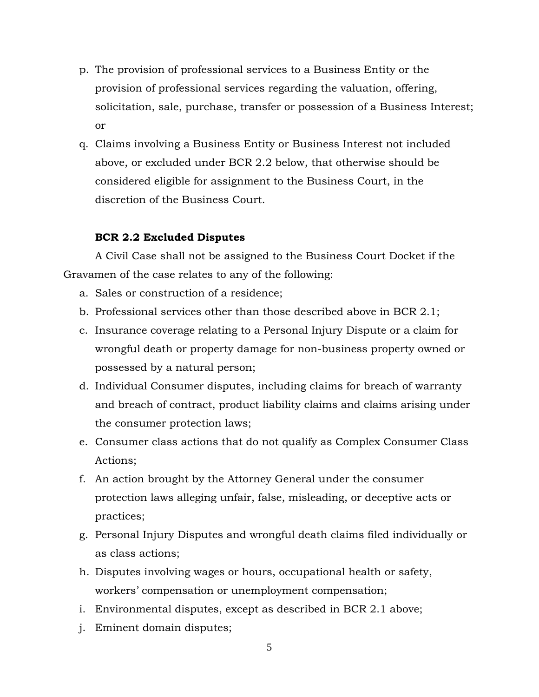- p. The provision of professional services to a Business Entity or the provision of professional services regarding the valuation, offering, solicitation, sale, purchase, transfer or possession of a Business Interest; or
- q. Claims involving a Business Entity or Business Interest not included above, or excluded under BCR 2.2 below, that otherwise should be considered eligible for assignment to the Business Court, in the discretion of the Business Court.

## **BCR 2.2 Excluded Disputes**

A Civil Case shall not be assigned to the Business Court Docket if the Gravamen of the case relates to any of the following:

- a. Sales or construction of a residence;
- b. Professional services other than those described above in BCR 2.1;
- c. Insurance coverage relating to a Personal Injury Dispute or a claim for wrongful death or property damage for non-business property owned or possessed by a natural person;
- d. Individual Consumer disputes, including claims for breach of warranty and breach of contract, product liability claims and claims arising under the consumer protection laws;
- e. Consumer class actions that do not qualify as Complex Consumer Class Actions;
- f. An action brought by the Attorney General under the consumer protection laws alleging unfair, false, misleading, or deceptive acts or practices;
- g. Personal Injury Disputes and wrongful death claims filed individually or as class actions;
- h. Disputes involving wages or hours, occupational health or safety, workers' compensation or unemployment compensation;
- i. Environmental disputes, except as described in BCR 2.1 above;
- j. Eminent domain disputes;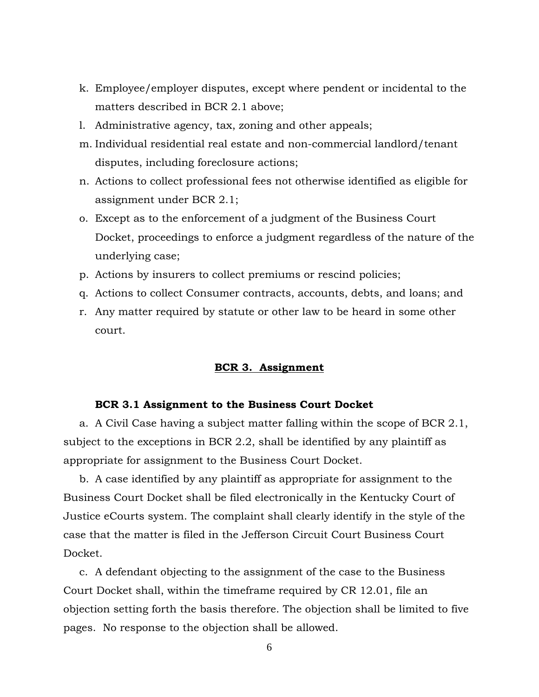- k. Employee/employer disputes, except where pendent or incidental to the matters described in BCR 2.1 above;
- l. Administrative agency, tax, zoning and other appeals;
- m. Individual residential real estate and non-commercial landlord/tenant disputes, including foreclosure actions;
- n. Actions to collect professional fees not otherwise identified as eligible for assignment under BCR 2.1;
- o. Except as to the enforcement of a judgment of the Business Court Docket, proceedings to enforce a judgment regardless of the nature of the underlying case;
- p. Actions by insurers to collect premiums or rescind policies;
- q. Actions to collect Consumer contracts, accounts, debts, and loans; and
- r. Any matter required by statute or other law to be heard in some other court.

## **BCR 3. Assignment**

#### **BCR 3.1 Assignment to the Business Court Docket**

a. A Civil Case having a subject matter falling within the scope of BCR 2.1, subject to the exceptions in BCR 2.2, shall be identified by any plaintiff as appropriate for assignment to the Business Court Docket.

b. A case identified by any plaintiff as appropriate for assignment to the Business Court Docket shall be filed electronically in the Kentucky Court of Justice eCourts system. The complaint shall clearly identify in the style of the case that the matter is filed in the Jefferson Circuit Court Business Court Docket.

c. A defendant objecting to the assignment of the case to the Business Court Docket shall, within the timeframe required by CR 12.01, file an objection setting forth the basis therefore. The objection shall be limited to five pages. No response to the objection shall be allowed.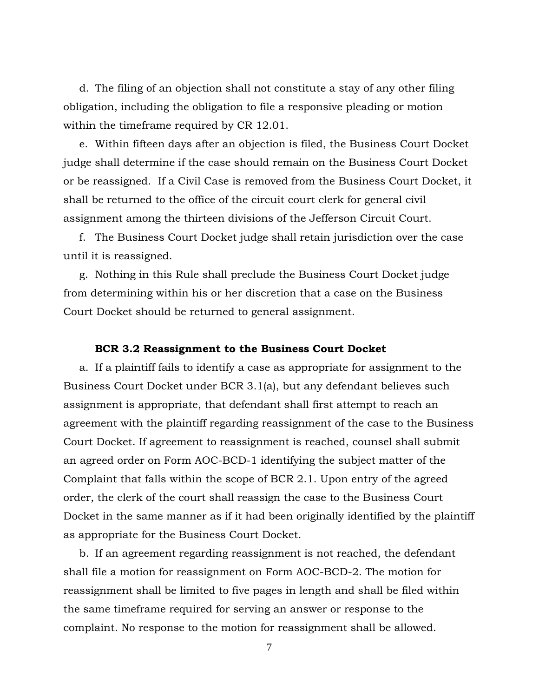d. The filing of an objection shall not constitute a stay of any other filing obligation, including the obligation to file a responsive pleading or motion within the timeframe required by CR 12.01.

e. Within fifteen days after an objection is filed, the Business Court Docket judge shall determine if the case should remain on the Business Court Docket or be reassigned. If a Civil Case is removed from the Business Court Docket, it shall be returned to the office of the circuit court clerk for general civil assignment among the thirteen divisions of the Jefferson Circuit Court.

f. The Business Court Docket judge shall retain jurisdiction over the case until it is reassigned.

g. Nothing in this Rule shall preclude the Business Court Docket judge from determining within his or her discretion that a case on the Business Court Docket should be returned to general assignment.

#### **BCR 3.2 Reassignment to the Business Court Docket**

a. If a plaintiff fails to identify a case as appropriate for assignment to the Business Court Docket under BCR 3.1(a), but any defendant believes such assignment is appropriate, that defendant shall first attempt to reach an agreement with the plaintiff regarding reassignment of the case to the Business Court Docket. If agreement to reassignment is reached, counsel shall submit an agreed order on Form AOC-BCD-1 identifying the subject matter of the Complaint that falls within the scope of BCR 2.1. Upon entry of the agreed order, the clerk of the court shall reassign the case to the Business Court Docket in the same manner as if it had been originally identified by the plaintiff as appropriate for the Business Court Docket.

b. If an agreement regarding reassignment is not reached, the defendant shall file a motion for reassignment on Form AOC-BCD-2. The motion for reassignment shall be limited to five pages in length and shall be filed within the same timeframe required for serving an answer or response to the complaint. No response to the motion for reassignment shall be allowed.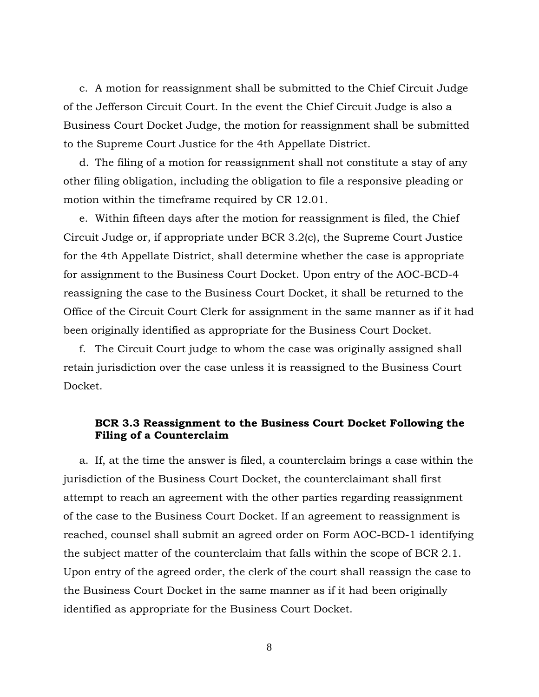c. A motion for reassignment shall be submitted to the Chief Circuit Judge of the Jefferson Circuit Court. In the event the Chief Circuit Judge is also a Business Court Docket Judge, the motion for reassignment shall be submitted to the Supreme Court Justice for the 4th Appellate District.

d. The filing of a motion for reassignment shall not constitute a stay of any other filing obligation, including the obligation to file a responsive pleading or motion within the timeframe required by CR 12.01.

e. Within fifteen days after the motion for reassignment is filed, the Chief Circuit Judge or, if appropriate under BCR 3.2(c), the Supreme Court Justice for the 4th Appellate District, shall determine whether the case is appropriate for assignment to the Business Court Docket. Upon entry of the AOC-BCD-4 reassigning the case to the Business Court Docket, it shall be returned to the Office of the Circuit Court Clerk for assignment in the same manner as if it had been originally identified as appropriate for the Business Court Docket.

f. The Circuit Court judge to whom the case was originally assigned shall retain jurisdiction over the case unless it is reassigned to the Business Court Docket.

## **BCR 3.3 Reassignment to the Business Court Docket Following the Filing of a Counterclaim**

a. If, at the time the answer is filed, a counterclaim brings a case within the jurisdiction of the Business Court Docket, the counterclaimant shall first attempt to reach an agreement with the other parties regarding reassignment of the case to the Business Court Docket. If an agreement to reassignment is reached, counsel shall submit an agreed order on Form AOC-BCD-1 identifying the subject matter of the counterclaim that falls within the scope of BCR 2.1. Upon entry of the agreed order, the clerk of the court shall reassign the case to the Business Court Docket in the same manner as if it had been originally identified as appropriate for the Business Court Docket.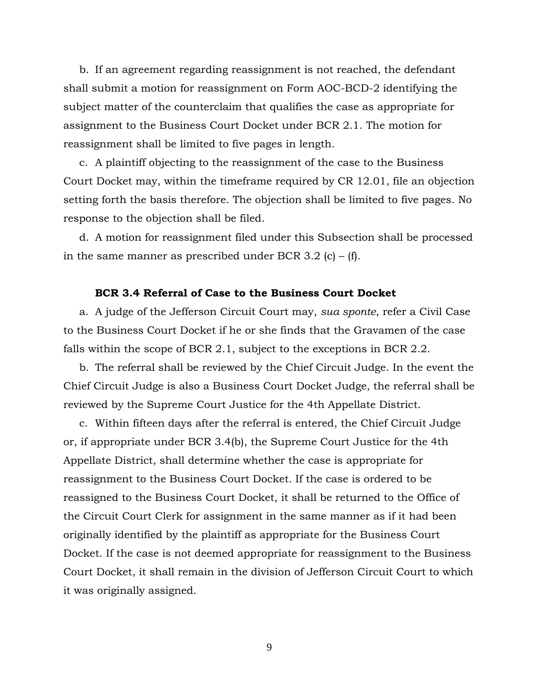b. If an agreement regarding reassignment is not reached, the defendant shall submit a motion for reassignment on Form AOC-BCD-2 identifying the subject matter of the counterclaim that qualifies the case as appropriate for assignment to the Business Court Docket under BCR 2.1. The motion for reassignment shall be limited to five pages in length.

c. A plaintiff objecting to the reassignment of the case to the Business Court Docket may, within the timeframe required by CR 12.01, file an objection setting forth the basis therefore. The objection shall be limited to five pages. No response to the objection shall be filed.

d. A motion for reassignment filed under this Subsection shall be processed in the same manner as prescribed under BCR 3.2 (c) – (f).

#### **BCR 3.4 Referral of Case to the Business Court Docket**

a. A judge of the Jefferson Circuit Court may, *sua sponte*, refer a Civil Case to the Business Court Docket if he or she finds that the Gravamen of the case falls within the scope of BCR 2.1, subject to the exceptions in BCR 2.2.

b. The referral shall be reviewed by the Chief Circuit Judge. In the event the Chief Circuit Judge is also a Business Court Docket Judge, the referral shall be reviewed by the Supreme Court Justice for the 4th Appellate District.

c. Within fifteen days after the referral is entered, the Chief Circuit Judge or, if appropriate under BCR 3.4(b), the Supreme Court Justice for the 4th Appellate District, shall determine whether the case is appropriate for reassignment to the Business Court Docket. If the case is ordered to be reassigned to the Business Court Docket, it shall be returned to the Office of the Circuit Court Clerk for assignment in the same manner as if it had been originally identified by the plaintiff as appropriate for the Business Court Docket. If the case is not deemed appropriate for reassignment to the Business Court Docket, it shall remain in the division of Jefferson Circuit Court to which it was originally assigned.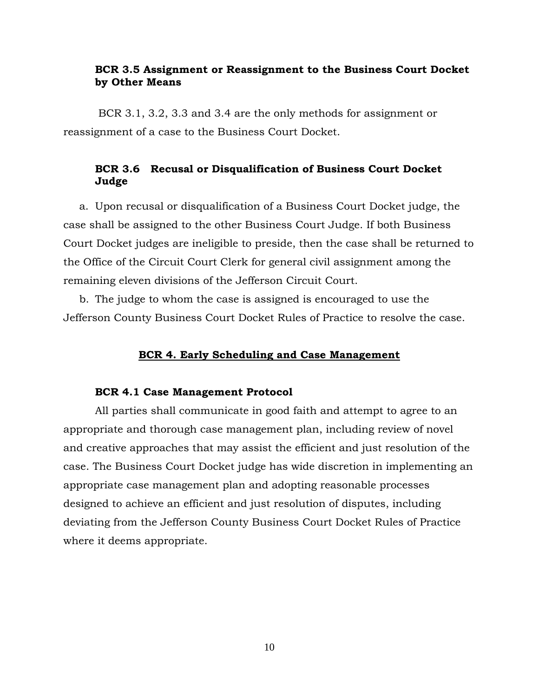## **BCR 3.5 Assignment or Reassignment to the Business Court Docket by Other Means**

BCR 3.1, 3.2, 3.3 and 3.4 are the only methods for assignment or reassignment of a case to the Business Court Docket.

## **BCR 3.6 Recusal or Disqualification of Business Court Docket Judge**

a. Upon recusal or disqualification of a Business Court Docket judge, the case shall be assigned to the other Business Court Judge. If both Business Court Docket judges are ineligible to preside, then the case shall be returned to the Office of the Circuit Court Clerk for general civil assignment among the remaining eleven divisions of the Jefferson Circuit Court.

b. The judge to whom the case is assigned is encouraged to use the Jefferson County Business Court Docket Rules of Practice to resolve the case.

## **BCR 4. Early Scheduling and Case Management**

#### **BCR 4.1 Case Management Protocol**

All parties shall communicate in good faith and attempt to agree to an appropriate and thorough case management plan, including review of novel and creative approaches that may assist the efficient and just resolution of the case. The Business Court Docket judge has wide discretion in implementing an appropriate case management plan and adopting reasonable processes designed to achieve an efficient and just resolution of disputes, including deviating from the Jefferson County Business Court Docket Rules of Practice where it deems appropriate.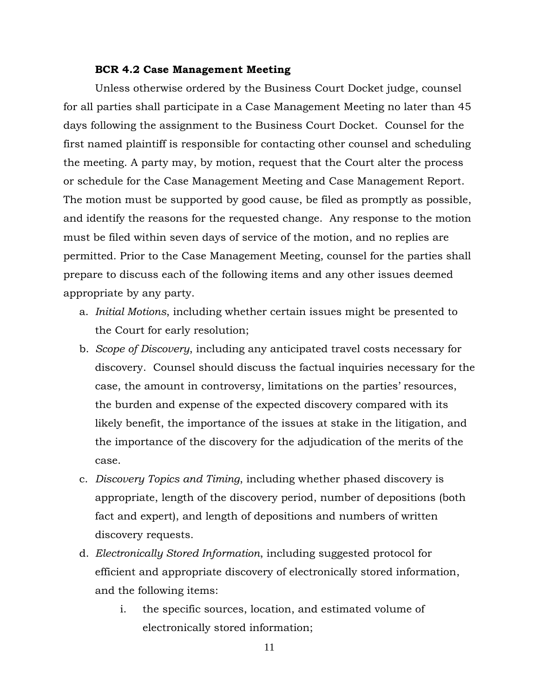#### **BCR 4.2 Case Management Meeting**

Unless otherwise ordered by the Business Court Docket judge, counsel for all parties shall participate in a Case Management Meeting no later than 45 days following the assignment to the Business Court Docket. Counsel for the first named plaintiff is responsible for contacting other counsel and scheduling the meeting. A party may, by motion, request that the Court alter the process or schedule for the Case Management Meeting and Case Management Report. The motion must be supported by good cause, be filed as promptly as possible, and identify the reasons for the requested change. Any response to the motion must be filed within seven days of service of the motion, and no replies are permitted. Prior to the Case Management Meeting, counsel for the parties shall prepare to discuss each of the following items and any other issues deemed appropriate by any party.

- a. *Initial Motions*, including whether certain issues might be presented to the Court for early resolution;
- b. *Scope of Discovery*, including any anticipated travel costs necessary for discovery. Counsel should discuss the factual inquiries necessary for the case, the amount in controversy, limitations on the parties' resources, the burden and expense of the expected discovery compared with its likely benefit, the importance of the issues at stake in the litigation, and the importance of the discovery for the adjudication of the merits of the case.
- c. *Discovery Topics and Timing*, including whether phased discovery is appropriate, length of the discovery period, number of depositions (both fact and expert), and length of depositions and numbers of written discovery requests.
- d. *Electronically Stored Information*, including suggested protocol for efficient and appropriate discovery of electronically stored information, and the following items:
	- i. the specific sources, location, and estimated volume of electronically stored information;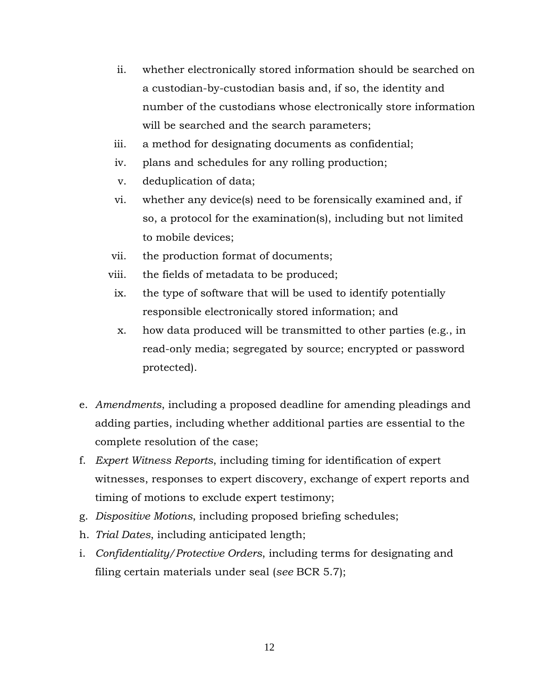- ii. whether electronically stored information should be searched on a custodian-by-custodian basis and, if so, the identity and number of the custodians whose electronically store information will be searched and the search parameters;
- iii. a method for designating documents as confidential;
- iv. plans and schedules for any rolling production;
- v. deduplication of data;
- vi. whether any device(s) need to be forensically examined and, if so, a protocol for the examination(s), including but not limited to mobile devices;
- vii. the production format of documents;
- viii. the fields of metadata to be produced;
- ix. the type of software that will be used to identify potentially responsible electronically stored information; and
- x. how data produced will be transmitted to other parties (e.g., in read-only media; segregated by source; encrypted or password protected).
- e. *Amendments*, including a proposed deadline for amending pleadings and adding parties, including whether additional parties are essential to the complete resolution of the case;
- f. *Expert Witness Reports*, including timing for identification of expert witnesses, responses to expert discovery, exchange of expert reports and timing of motions to exclude expert testimony;
- g. *Dispositive Motions*, including proposed briefing schedules;
- h. *Trial Dates*, including anticipated length;
- i. *Confidentiality/Protective Orders*, including terms for designating and filing certain materials under seal (*see* BCR 5.7);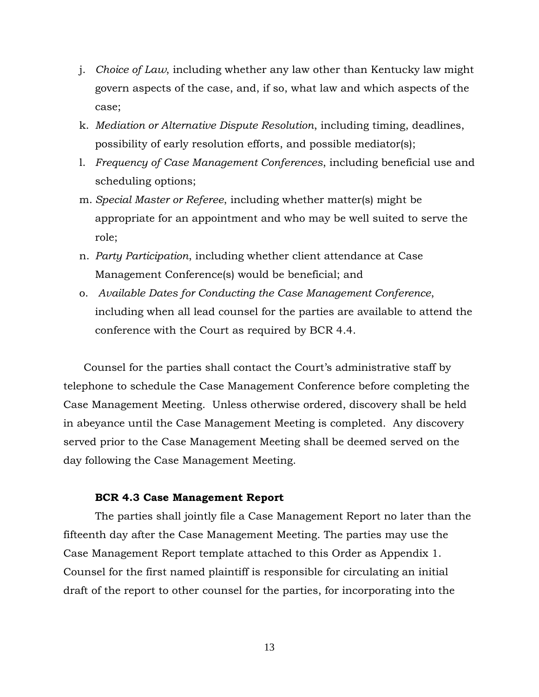- j. *Choice of Law*, including whether any law other than Kentucky law might govern aspects of the case, and, if so, what law and which aspects of the case;
- k. *Mediation or Alternative Dispute Resolution*, including timing, deadlines, possibility of early resolution efforts, and possible mediator(s);
- l. *Frequency of Case Management Conferences*, including beneficial use and scheduling options;
- m. *Special Master or Referee*, including whether matter(s) might be appropriate for an appointment and who may be well suited to serve the role;
- n. *Party Participation*, including whether client attendance at Case Management Conference(s) would be beneficial; and
- o. *Available Dates for Conducting the Case Management Conference*, including when all lead counsel for the parties are available to attend the conference with the Court as required by BCR 4.4.

 Counsel for the parties shall contact the Court's administrative staff by telephone to schedule the Case Management Conference before completing the Case Management Meeting. Unless otherwise ordered, discovery shall be held in abeyance until the Case Management Meeting is completed. Any discovery served prior to the Case Management Meeting shall be deemed served on the day following the Case Management Meeting.

#### **BCR 4.3 Case Management Report**

The parties shall jointly file a Case Management Report no later than the fifteenth day after the Case Management Meeting. The parties may use the Case Management Report template attached to this Order as Appendix 1. Counsel for the first named plaintiff is responsible for circulating an initial draft of the report to other counsel for the parties, for incorporating into the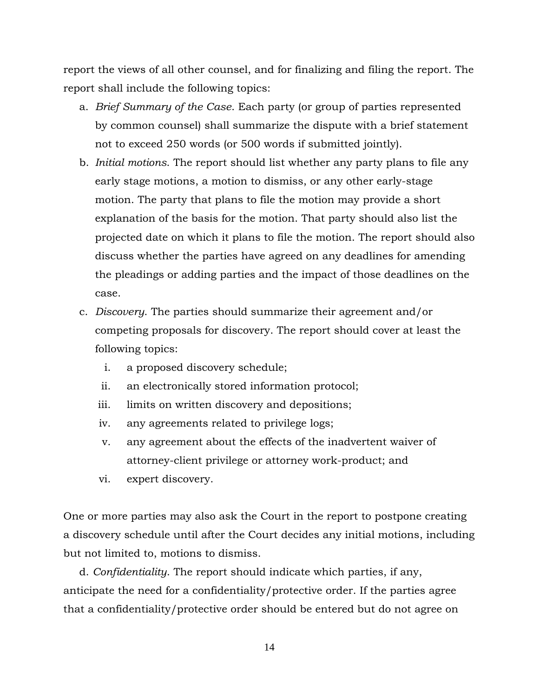report the views of all other counsel, and for finalizing and filing the report. The report shall include the following topics:

- a. *Brief Summary of the Case*. Each party (or group of parties represented by common counsel) shall summarize the dispute with a brief statement not to exceed 250 words (or 500 words if submitted jointly).
- b. *Initial motions*. The report should list whether any party plans to file any early stage motions, a motion to dismiss, or any other early-stage motion. The party that plans to file the motion may provide a short explanation of the basis for the motion. That party should also list the projected date on which it plans to file the motion. The report should also discuss whether the parties have agreed on any deadlines for amending the pleadings or adding parties and the impact of those deadlines on the case.
- c. *Discovery*. The parties should summarize their agreement and/or competing proposals for discovery. The report should cover at least the following topics:
	- i. a proposed discovery schedule;
	- ii. an electronically stored information protocol;
	- iii. limits on written discovery and depositions;
	- iv. any agreements related to privilege logs;
	- v. any agreement about the effects of the inadvertent waiver of attorney-client privilege or attorney work-product; and
	- vi. expert discovery.

One or more parties may also ask the Court in the report to postpone creating a discovery schedule until after the Court decides any initial motions, including but not limited to, motions to dismiss.

d. *Confidentiality*. The report should indicate which parties, if any, anticipate the need for a confidentiality/protective order. If the parties agree that a confidentiality/protective order should be entered but do not agree on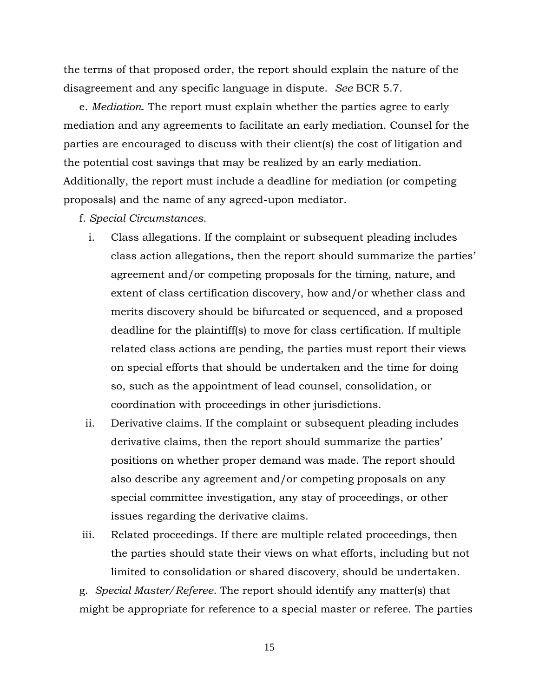the terms of that proposed order, the report should explain the nature of the disagreement and any specific language in dispute. *See* BCR 5.7.

e. *Mediation*. The report must explain whether the parties agree to early mediation and any agreements to facilitate an early mediation. Counsel for the parties are encouraged to discuss with their client(s) the cost of litigation and the potential cost savings that may be realized by an early mediation. Additionally, the report must include a deadline for mediation (or competing proposals) and the name of any agreed-upon mediator.

- f. *Special Circumstances*.
	- i. Class allegations. If the complaint or subsequent pleading includes class action allegations, then the report should summarize the parties' agreement and/or competing proposals for the timing, nature, and extent of class certification discovery, how and/or whether class and merits discovery should be bifurcated or sequenced, and a proposed deadline for the plaintiff(s) to move for class certification. If multiple related class actions are pending, the parties must report their views on special efforts that should be undertaken and the time for doing so, such as the appointment of lead counsel, consolidation, or coordination with proceedings in other jurisdictions.
- ii. Derivative claims. If the complaint or subsequent pleading includes derivative claims, then the report should summarize the parties' positions on whether proper demand was made. The report should also describe any agreement and/or competing proposals on any special committee investigation, any stay of proceedings, or other issues regarding the derivative claims.
- iii. Related proceedings. If there are multiple related proceedings, then the parties should state their views on what efforts, including but not limited to consolidation or shared discovery, should be undertaken.

g. *Special Master/Referee*. The report should identify any matter(s) that might be appropriate for reference to a special master or referee. The parties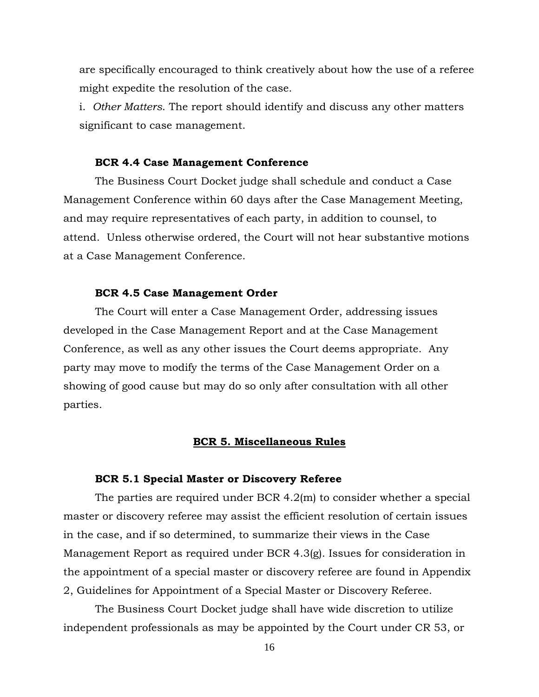are specifically encouraged to think creatively about how the use of a referee might expedite the resolution of the case.

i. *Other Matters*. The report should identify and discuss any other matters significant to case management.

#### **BCR 4.4 Case Management Conference**

The Business Court Docket judge shall schedule and conduct a Case Management Conference within 60 days after the Case Management Meeting, and may require representatives of each party, in addition to counsel, to attend. Unless otherwise ordered, the Court will not hear substantive motions at a Case Management Conference.

#### **BCR 4.5 Case Management Order**

The Court will enter a Case Management Order, addressing issues developed in the Case Management Report and at the Case Management Conference, as well as any other issues the Court deems appropriate. Any party may move to modify the terms of the Case Management Order on a showing of good cause but may do so only after consultation with all other parties.

#### **BCR 5. Miscellaneous Rules**

#### **BCR 5.1 Special Master or Discovery Referee**

The parties are required under BCR 4.2(m) to consider whether a special master or discovery referee may assist the efficient resolution of certain issues in the case, and if so determined, to summarize their views in the Case Management Report as required under BCR 4.3(g). Issues for consideration in the appointment of a special master or discovery referee are found in Appendix 2, Guidelines for Appointment of a Special Master or Discovery Referee.

The Business Court Docket judge shall have wide discretion to utilize independent professionals as may be appointed by the Court under CR 53, or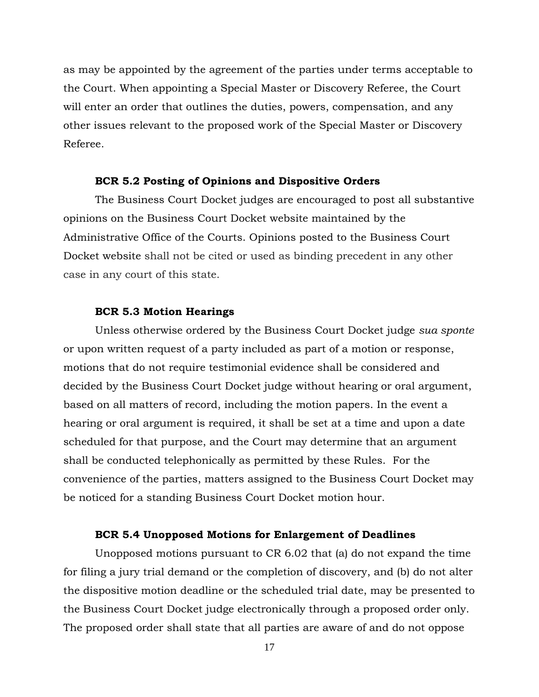as may be appointed by the agreement of the parties under terms acceptable to the Court. When appointing a Special Master or Discovery Referee, the Court will enter an order that outlines the duties, powers, compensation, and any other issues relevant to the proposed work of the Special Master or Discovery Referee.

#### **BCR 5.2 Posting of Opinions and Dispositive Orders**

The Business Court Docket judges are encouraged to post all substantive opinions on the Business Court Docket website maintained by the Administrative Office of the Courts. Opinions posted to the Business Court Docket website shall not be cited or used as binding precedent in any other case in any court of this state.

#### **BCR 5.3 Motion Hearings**

Unless otherwise ordered by the Business Court Docket judge *sua sponte* or upon written request of a party included as part of a motion or response, motions that do not require testimonial evidence shall be considered and decided by the Business Court Docket judge without hearing or oral argument, based on all matters of record, including the motion papers. In the event a hearing or oral argument is required, it shall be set at a time and upon a date scheduled for that purpose, and the Court may determine that an argument shall be conducted telephonically as permitted by these Rules. For the convenience of the parties, matters assigned to the Business Court Docket may be noticed for a standing Business Court Docket motion hour.

#### **BCR 5.4 Unopposed Motions for Enlargement of Deadlines**

Unopposed motions pursuant to CR 6.02 that (a) do not expand the time for filing a jury trial demand or the completion of discovery, and (b) do not alter the dispositive motion deadline or the scheduled trial date, may be presented to the Business Court Docket judge electronically through a proposed order only. The proposed order shall state that all parties are aware of and do not oppose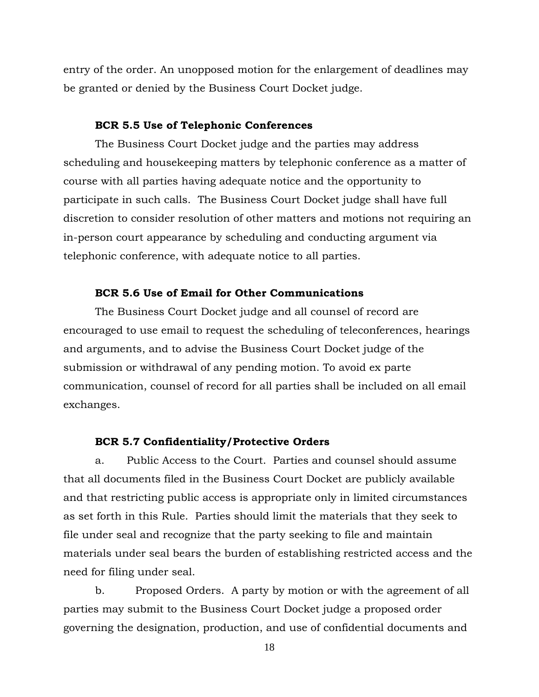entry of the order. An unopposed motion for the enlargement of deadlines may be granted or denied by the Business Court Docket judge.

#### **BCR 5.5 Use of Telephonic Conferences**

The Business Court Docket judge and the parties may address scheduling and housekeeping matters by telephonic conference as a matter of course with all parties having adequate notice and the opportunity to participate in such calls. The Business Court Docket judge shall have full discretion to consider resolution of other matters and motions not requiring an in-person court appearance by scheduling and conducting argument via telephonic conference, with adequate notice to all parties.

#### **BCR 5.6 Use of Email for Other Communications**

The Business Court Docket judge and all counsel of record are encouraged to use email to request the scheduling of teleconferences, hearings and arguments, and to advise the Business Court Docket judge of the submission or withdrawal of any pending motion. To avoid ex parte communication, counsel of record for all parties shall be included on all email exchanges.

#### **BCR 5.7 Confidentiality/Protective Orders**

a. Public Access to the Court. Parties and counsel should assume that all documents filed in the Business Court Docket are publicly available and that restricting public access is appropriate only in limited circumstances as set forth in this Rule. Parties should limit the materials that they seek to file under seal and recognize that the party seeking to file and maintain materials under seal bears the burden of establishing restricted access and the need for filing under seal.

b. Proposed Orders. A party by motion or with the agreement of all parties may submit to the Business Court Docket judge a proposed order governing the designation, production, and use of confidential documents and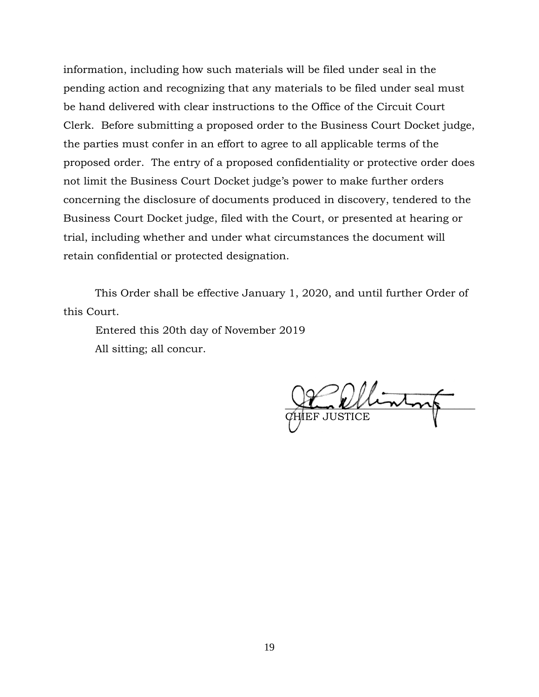information, including how such materials will be filed under seal in the pending action and recognizing that any materials to be filed under seal must be hand delivered with clear instructions to the Office of the Circuit Court Clerk. Before submitting a proposed order to the Business Court Docket judge, the parties must confer in an effort to agree to all applicable terms of the proposed order. The entry of a proposed confidentiality or protective order does not limit the Business Court Docket judge's power to make further orders concerning the disclosure of documents produced in discovery, tendered to the Business Court Docket judge, filed with the Court, or presented at hearing or trial, including whether and under what circumstances the document will retain confidential or protected designation.

This Order shall be effective January 1, 2020, and until further Order of this Court.

Entered this 20th day of November 2019 All sitting; all concur.

 $\frac{1}{\sqrt{2\pi}}$ EF JUSTICE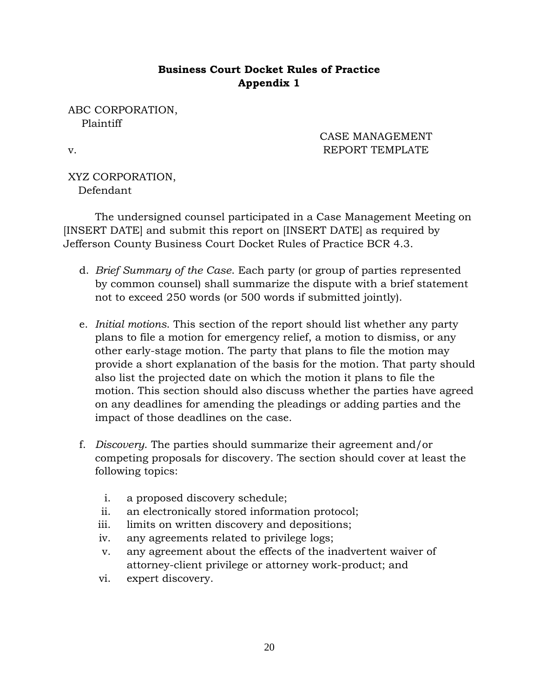## **Business Court Docket Rules of Practice Appendix 1**

ABC CORPORATION, Plaintiff

CASE MANAGEMENT v. REPORT TEMPLATE

XYZ CORPORATION, Defendant

The undersigned counsel participated in a Case Management Meeting on [INSERT DATE] and submit this report on [INSERT DATE] as required by Jefferson County Business Court Docket Rules of Practice BCR 4.3.

- d. *Brief Summary of the Case*. Each party (or group of parties represented by common counsel) shall summarize the dispute with a brief statement not to exceed 250 words (or 500 words if submitted jointly).
- e. *Initial motions*. This section of the report should list whether any party plans to file a motion for emergency relief, a motion to dismiss, or any other early-stage motion. The party that plans to file the motion may provide a short explanation of the basis for the motion. That party should also list the projected date on which the motion it plans to file the motion. This section should also discuss whether the parties have agreed on any deadlines for amending the pleadings or adding parties and the impact of those deadlines on the case.
- f. *Discovery*. The parties should summarize their agreement and/or competing proposals for discovery. The section should cover at least the following topics:
	- i. a proposed discovery schedule;
	- ii. an electronically stored information protocol;
	- iii. limits on written discovery and depositions;
	- iv. any agreements related to privilege logs;
	- v. any agreement about the effects of the inadvertent waiver of attorney-client privilege or attorney work-product; and
	- vi. expert discovery.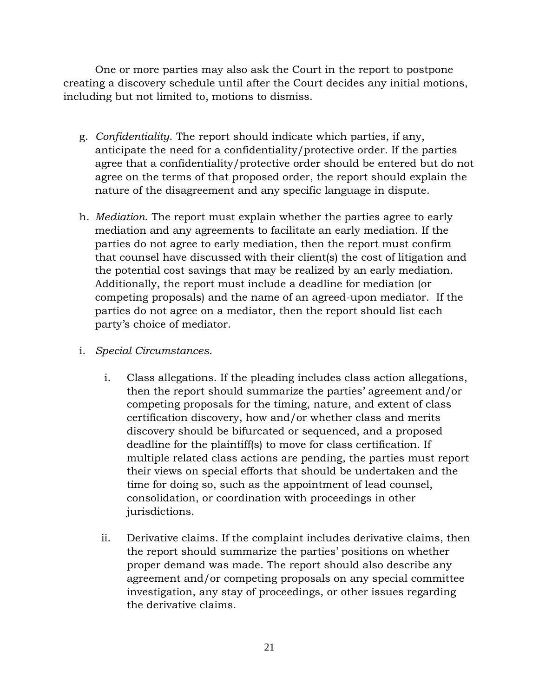One or more parties may also ask the Court in the report to postpone creating a discovery schedule until after the Court decides any initial motions, including but not limited to, motions to dismiss.

- g. *Confidentiality*. The report should indicate which parties, if any, anticipate the need for a confidentiality/protective order. If the parties agree that a confidentiality/protective order should be entered but do not agree on the terms of that proposed order, the report should explain the nature of the disagreement and any specific language in dispute.
- h. *Mediation*. The report must explain whether the parties agree to early mediation and any agreements to facilitate an early mediation. If the parties do not agree to early mediation, then the report must confirm that counsel have discussed with their client(s) the cost of litigation and the potential cost savings that may be realized by an early mediation. Additionally, the report must include a deadline for mediation (or competing proposals) and the name of an agreed-upon mediator. If the parties do not agree on a mediator, then the report should list each party's choice of mediator.
- i. *Special Circumstances*.
	- i. Class allegations. If the pleading includes class action allegations, then the report should summarize the parties' agreement and/or competing proposals for the timing, nature, and extent of class certification discovery, how and/or whether class and merits discovery should be bifurcated or sequenced, and a proposed deadline for the plaintiff(s) to move for class certification. If multiple related class actions are pending, the parties must report their views on special efforts that should be undertaken and the time for doing so, such as the appointment of lead counsel, consolidation, or coordination with proceedings in other jurisdictions.
	- ii. Derivative claims. If the complaint includes derivative claims, then the report should summarize the parties' positions on whether proper demand was made. The report should also describe any agreement and/or competing proposals on any special committee investigation, any stay of proceedings, or other issues regarding the derivative claims.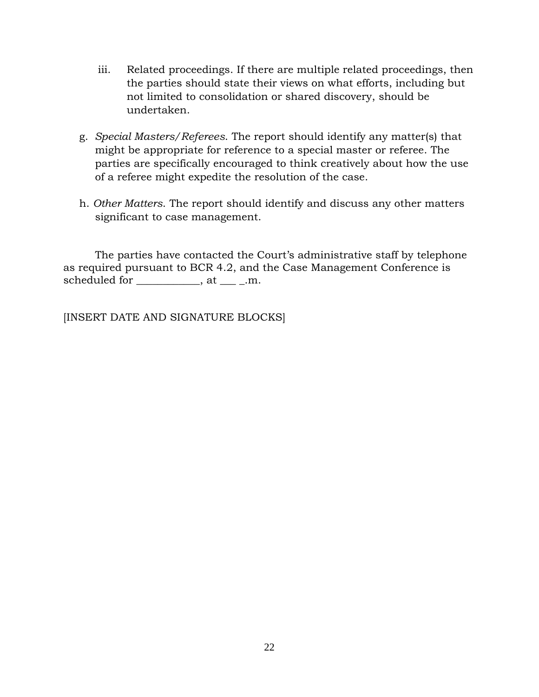- iii. Related proceedings. If there are multiple related proceedings, then the parties should state their views on what efforts, including but not limited to consolidation or shared discovery, should be undertaken.
- g. *Special Masters/Referees*. The report should identify any matter(s) that might be appropriate for reference to a special master or referee. The parties are specifically encouraged to think creatively about how the use of a referee might expedite the resolution of the case.
- h. *Other Matters*. The report should identify and discuss any other matters significant to case management.

The parties have contacted the Court's administrative staff by telephone as required pursuant to BCR 4.2, and the Case Management Conference is scheduled for \_\_\_\_\_\_\_\_\_\_\_, at \_\_\_\_\_.m.

[INSERT DATE AND SIGNATURE BLOCKS]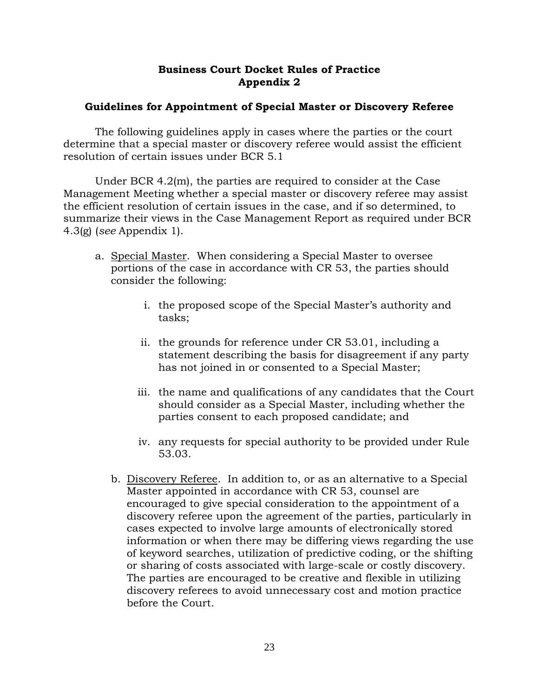## **Business Court Docket Rules of Practice Appendix 2**

## **Guidelines for Appointment of Special Master or Discovery Referee**

The following guidelines apply in cases where the parties or the court determine that a special master or discovery referee would assist the efficient resolution of certain issues under BCR 5.1

Under BCR 4.2(m), the parties are required to consider at the Case Management Meeting whether a special master or discovery referee may assist the efficient resolution of certain issues in the case, and if so determined, to summarize their views in the Case Management Report as required under BCR 4.3(g) (*see* Appendix 1).

- a. Special Master. When considering a Special Master to oversee portions of the case in accordance with CR 53, the parties should consider the following:
	- i. the proposed scope of the Special Master's authority and tasks;
	- ii. the grounds for reference under CR 53.01, including a statement describing the basis for disagreement if any party has not joined in or consented to a Special Master;
	- iii. the name and qualifications of any candidates that the Court should consider as a Special Master, including whether the parties consent to each proposed candidate; and
	- iv. any requests for special authority to be provided under Rule 53.03.
	- b. Discovery Referee. In addition to, or as an alternative to a Special Master appointed in accordance with CR 53, counsel are encouraged to give special consideration to the appointment of a discovery referee upon the agreement of the parties, particularly in cases expected to involve large amounts of electronically stored information or when there may be differing views regarding the use of keyword searches, utilization of predictive coding, or the shifting or sharing of costs associated with large-scale or costly discovery. The parties are encouraged to be creative and flexible in utilizing discovery referees to avoid unnecessary cost and motion practice before the Court.